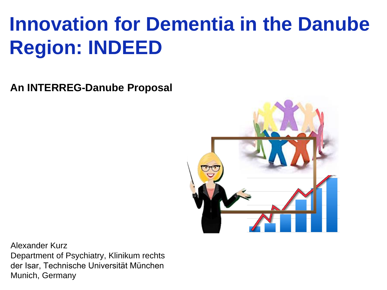# **Innovation for Dementia in the Danube Region: INDEED**

**An INTERREG-Danube Proposal**



Alexander Kurz Department of Psychiatry, Klinikum rechts der Isar, Technische Universität München Munich, Germany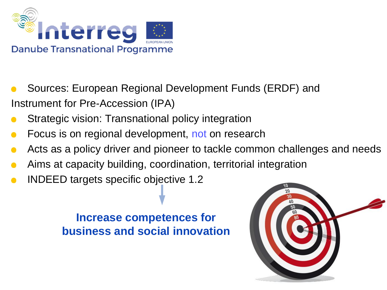

- Sources: European Regional Development Funds (ERDF) and Instrument for Pre-Accession (IPA)
- Strategic vision: Transnational policy integration  $\bullet$
- Focus is on regional development, not on research  $\blacksquare$
- Acts as a policy driver and pioneer to tackle common challenges and needs  $\bullet$
- Aims at capacity building, coordination, territorial integration
- INDEED targets specific objective 1.2  $\bullet$

#### **Increase competences for business and social innovation**

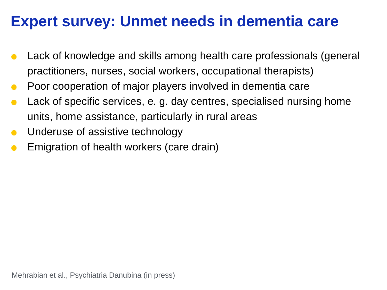#### **Expert survey: Unmet needs in dementia care**

- Lack of knowledge and skills among health care professionals (general  $\bullet$ practitioners, nurses, social workers, occupational therapists)
- Poor cooperation of major players involved in dementia care  $\overline{\phantom{a}}$
- Lack of specific services, e. g. day centres, specialised nursing home  $\bullet$ units, home assistance, particularly in rural areas
- Underuse of assistive technology  $\bullet$
- Emigration of health workers (care drain)  $\bullet$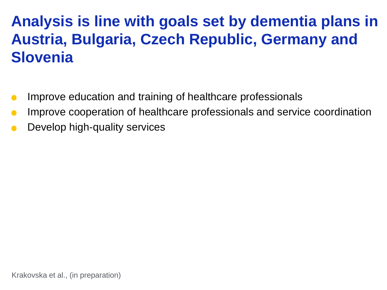**Analysis is line with goals set by dementia plans in Austria, Bulgaria, Czech Republic, Germany and Slovenia**

- Improve education and training of healthcare professionals  $\bullet$
- Improve cooperation of healthcare professionals and service coordination  $\bullet$
- Develop high-quality services  $\bullet$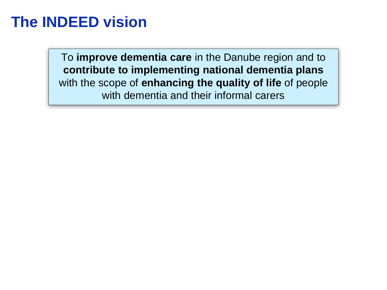#### **The INDEED vision**

To **improve dementia care** in the Danube region and to **contribute to implementing national dementia plans** with the scope of **enhancing the quality of life** of people with dementia and their informal carers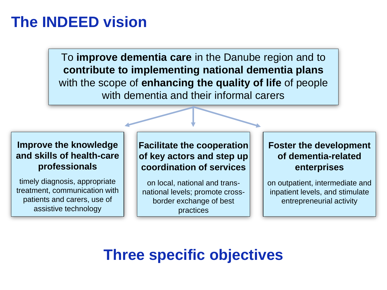#### **The INDEED vision**

To **improve dementia care** in the Danube region and to **contribute to implementing national dementia plans** with the scope of **enhancing the quality of life** of people with dementia and their informal carers

#### **Improve the knowledge and skills of health-care professionals**

timely diagnosis, appropriate treatment, communication with patients and carers, use of assistive technology

**Facilitate the cooperation of key actors and step up coordination of services**

on local, national and transnational levels; promote crossborder exchange of best practices

#### **Foster the development of dementia-related enterprises**

on outpatient, intermediate and inpatient levels, and stimulate entrepreneurial activity

### **Three specific objectives**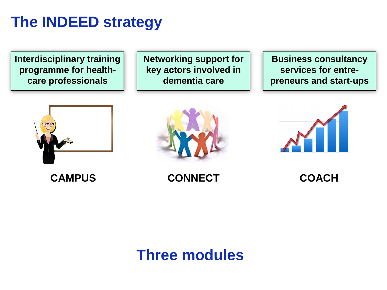#### **The INDEED strategy**

**Interdisciplinary training programme for healthcare professionals**

**Networking support for key actors involved in dementia care**

**Business consultancy services for entrepreneurs and start-ups**







**CAMPUS CONNECT COACH**

#### **Three modules**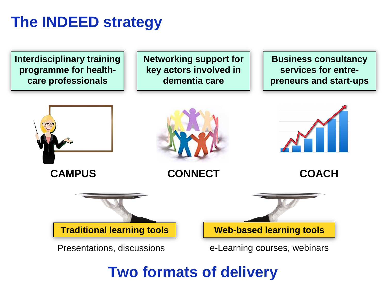#### **The INDEED strategy**

**Interdisciplinary training programme for healthcare professionals**

**Networking support for key actors involved in dementia care**

**Business consultancy services for entrepreneurs and start-ups**



#### **Two formats of delivery**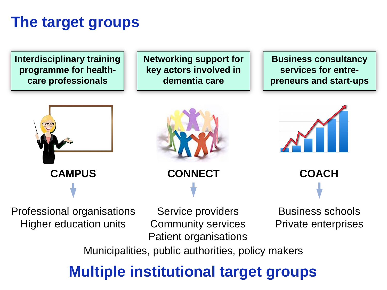#### **The target groups**

**Interdisciplinary training programme for healthcare professionals**

**Networking support for key actors involved in dementia care**

**Business consultancy services for entrepreneurs and start-ups**







Professional organisations Higher education units

Service providers Community services Patient organisations

Business schools Private enterprises

Municipalities, public authorities, policy makers

### **Multiple institutional target groups**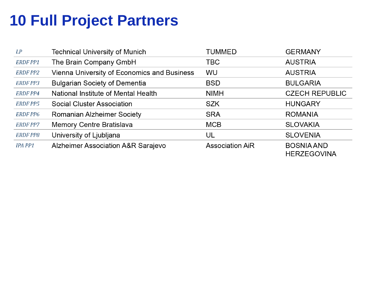## **10 Full Project Partners**

| LP              | <b>Technical University of Munich</b>       | <b>TUMMED</b>          | <b>GERMANY</b>                          |
|-----------------|---------------------------------------------|------------------------|-----------------------------------------|
| <b>ERDF PP1</b> | The Brain Company GmbH                      | TBC                    | <b>AUSTRIA</b>                          |
| <b>ERDF PP2</b> | Vienna University of Economics and Business | <b>WU</b>              | <b>AUSTRIA</b>                          |
| <b>ERDF PP3</b> | <b>Bulgarian Society of Dementia</b>        | <b>BSD</b>             | <b>BULGARIA</b>                         |
| <b>ERDF PP4</b> | National Institute of Mental Health         | <b>NIMH</b>            | <b>CZECH REPUBLIC</b>                   |
| <b>ERDF PP5</b> | <b>Social Cluster Association</b>           | <b>SZK</b>             | <b>HUNGARY</b>                          |
| <b>ERDF PP6</b> | <b>Romanian Alzheimer Society</b>           | <b>SRA</b>             | <b>ROMANIA</b>                          |
| <b>ERDF PP7</b> | <b>Memory Centre Bratislava</b>             | <b>MCB</b>             | <b>SLOVAKIA</b>                         |
| <b>ERDF PP8</b> | University of Ljubljana                     | UL                     | <b>SLOVENIA</b>                         |
| IPA PP1         | Alzheimer Association A&R Sarajevo          | <b>Association AiR</b> | <b>BOSNIA AND</b><br><b>HERZEGOVINA</b> |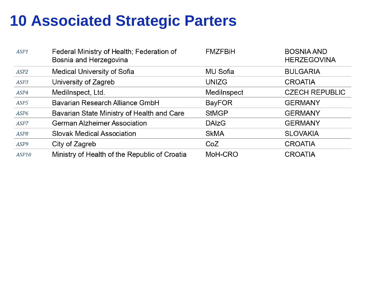#### **10 Associated Strategic Parters**

| ASP1             | Federal Ministry of Health; Federation of<br>Bosnia and Herzegovina | <b>FMZFBIH</b> | <b>BOSNIA AND</b><br><b>HERZEGOVINA</b> |
|------------------|---------------------------------------------------------------------|----------------|-----------------------------------------|
| ASP2             | <b>Medical University of Sofia</b>                                  | MU Sofia       | <b>BULGARIA</b>                         |
| ASP3             | University of Zagreb                                                | <b>UNIZG</b>   | <b>CROATIA</b>                          |
| ASP4             | Medilnspect, Ltd.                                                   | Medilnspect    | <b>CZECH REPUBLIC</b>                   |
| ASP5             | Bavarian Research Alliance GmbH                                     | <b>BayFOR</b>  | <b>GERMANY</b>                          |
| ASP <sub>6</sub> | Bavarian State Ministry of Health and Care                          | <b>StMGP</b>   | <b>GERMANY</b>                          |
| ASP7             | <b>German Alzheimer Association</b>                                 | <b>DAIzG</b>   | <b>GERMANY</b>                          |
| ASP8             | <b>Slovak Medical Association</b>                                   | <b>SkMA</b>    | <b>SLOVAKIA</b>                         |
| ASP <sub>9</sub> | City of Zagreb                                                      | CoZ            | <b>CROATIA</b>                          |
| ASP10            | Ministry of Health of the Republic of Croatia                       | MoH-CRO        | <b>CROATIA</b>                          |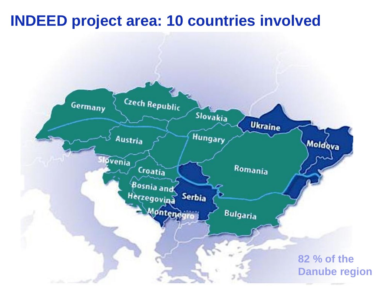#### **INDEED project area: 10 countries involved**

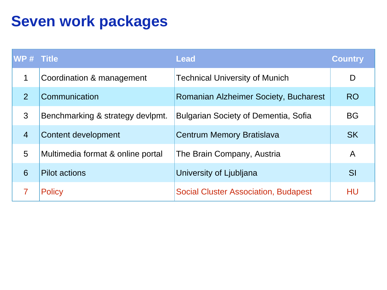## **Seven work packages**

| WP # Title     |                                   | Lead                                         | <b>Country</b> |
|----------------|-----------------------------------|----------------------------------------------|----------------|
| 1              | Coordination & management         | <b>Technical University of Munich</b>        | D              |
| $\overline{2}$ | Communication                     | <b>Romanian Alzheimer Society, Bucharest</b> | <b>RO</b>      |
| 3              | Benchmarking & strategy devipmt.  | <b>Bulgarian Society of Dementia, Sofia</b>  | <b>BG</b>      |
| $\overline{4}$ | <b>Content development</b>        | <b>Centrum Memory Bratislava</b>             | <b>SK</b>      |
| 5              | Multimedia format & online portal | The Brain Company, Austria                   | $\mathsf{A}$   |
| 6              | <b>Pilot actions</b>              | University of Ljubljana                      | SI             |
|                | <b>Policy</b>                     | <b>Social Cluster Association, Budapest</b>  | HU             |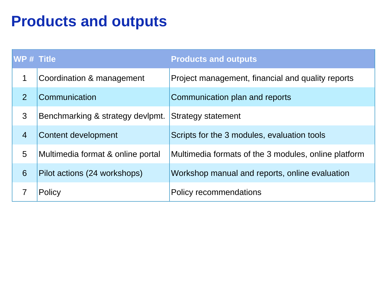#### **Products and outputs**

| WP # Title     |                                   | <b>Products and outputs</b>                          |
|----------------|-----------------------------------|------------------------------------------------------|
| 1              | Coordination & management         | Project management, financial and quality reports    |
| $\overline{2}$ | Communication                     | Communication plan and reports                       |
| 3              | Benchmarking & strategy devlpmt.  | <b>Strategy statement</b>                            |
| $\overline{4}$ | Content development               | Scripts for the 3 modules, evaluation tools          |
| 5              | Multimedia format & online portal | Multimedia formats of the 3 modules, online platform |
| 6              | Pilot actions (24 workshops)      | Workshop manual and reports, online evaluation       |
|                | Policy                            | <b>Policy recommendations</b>                        |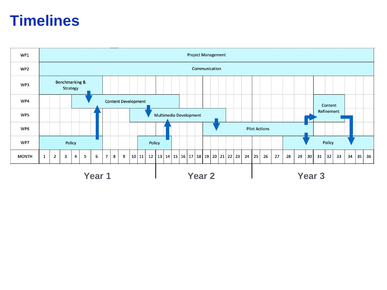#### **Timelines**